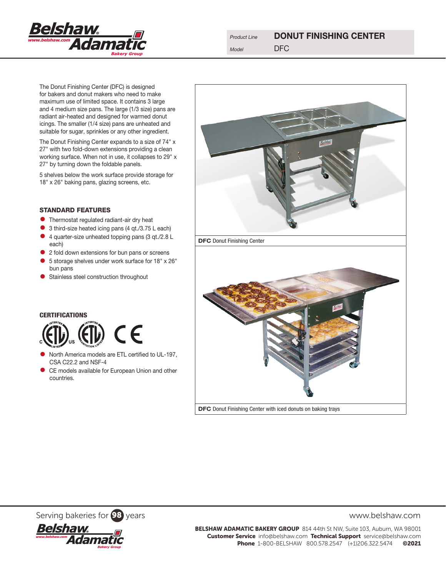

The Donut Finishing Center (DFC) is designed for bakers and donut makers who need to make maximum use of limited space. It contains 3 large and 4 medium size pans. The large (1/3 size) pans are radiant air-heated and designed for warmed donut icings. The smaller (1/4 size) pans are unheated and suitable for sugar, sprinkles or any other ingredient.

The Donut Finishing Center expands to a size of 74" x 27" with two fold-down extensions providing a clean working surface. When not in use, it collapses to 29" x 27" by turning down the foldable panels.

5 shelves below the work surface provide storage for 18" x 26" baking pans, glazing screens, etc.

## STANDARD FEATURES

- **•** Thermostat regulated radiant-air dry heat
- 3 third-size heated icing pans (4 qt./3.75 L each)
- 4 quarter-size unheated topping pans (3 qt./2.8 L each)
- 2 fold down extensions for bun pans or screens
- 5 storage shelves under work surface for 18" x 26" bun pans
- **•** Stainless steel construction throughout



DFC Donut Finishing Center with iced donuts on baking trays

Serving bakeries for 98 years www.belshaw.com



BELSHAW ADAMATIC BAKERY GROUP 814 44th St NW, Suite 103, Auburn, WA 98001 Customer Service info@belshaw.com Technical Support service@belshaw.com

Phone 1-800-BELSHAW 800.578.2547 (+1)206.322.5474 ©2021

# **CERTIFICATIONS**



- North America models are ETL certified to UL-197, CSA C22.2 and NSF-4
- CE models available for European Union and other countries.